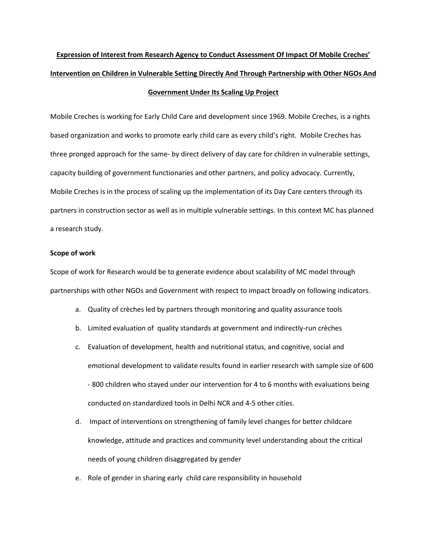# **Expression of Interest from Research Agency to Conduct Assessment Of Impact Of Mobile Creches' Intervention on Children in Vulnerable Setting Directly And Through Partnership with Other NGOs And Government Under Its Scaling Up Project**

Mobile Creches is working for Early Child Care and development since 1969. Mobile Creches, is a rights based organization and works to promote early child care as every child's right. Mobile Creches has three pronged approach for the same- by direct delivery of day care for children in vulnerable settings, capacity building of government functionaries and other partners, and policy advocacy. Currently, Mobile Creches is in the process of scaling up the implementation of its Day Care centers through its partners in construction sector as well as in multiple vulnerable settings. In this context MC has planned a research study.

#### **Scope of work**

Scope of work for Research would be to generate evidence about scalability of MC model through partnerships with other NGOs and Government with respect to impact broadly on following indicators.

- a. Quality of crèches led by partners through monitoring and quality assurance tools
- b. Limited evaluation of quality standards at government and indirectly-run crèches
- c. Evaluation of development, health and nutritional status, and cognitive, social and emotional development to validate results found in earlier research with sample size of 600 - 800 children who stayed under our intervention for 4 to 6 months with evaluations being conducted on standardized tools in Delhi NCR and 4-5 other cities.
- d. Impact of interventions on strengthening of family level changes for better childcare knowledge, attitude and practices and community level understanding about the critical needs of young children disaggregated by gender
- e. Role of gender in sharing early child care responsibility in household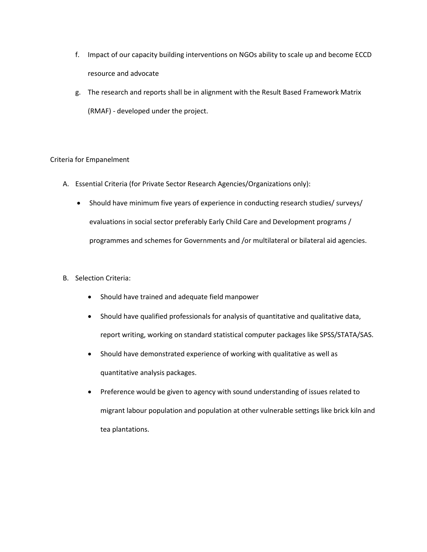- f. Impact of our capacity building interventions on NGOs ability to scale up and become ECCD resource and advocate
- g. The research and reports shall be in alignment with the Result Based Framework Matrix (RMAF) - developed under the project.

# Criteria for Empanelment

- A. Essential Criteria (for Private Sector Research Agencies/Organizations only):
	- Should have minimum five years of experience in conducting research studies/ surveys/ evaluations in social sector preferably Early Child Care and Development programs / programmes and schemes for Governments and /or multilateral or bilateral aid agencies.
- B. Selection Criteria:
	- Should have trained and adequate field manpower
	- Should have qualified professionals for analysis of quantitative and qualitative data, report writing, working on standard statistical computer packages like SPSS/STATA/SAS.
	- Should have demonstrated experience of working with qualitative as well as quantitative analysis packages.
	- Preference would be given to agency with sound understanding of issues related to migrant labour population and population at other vulnerable settings like brick kiln and tea plantations.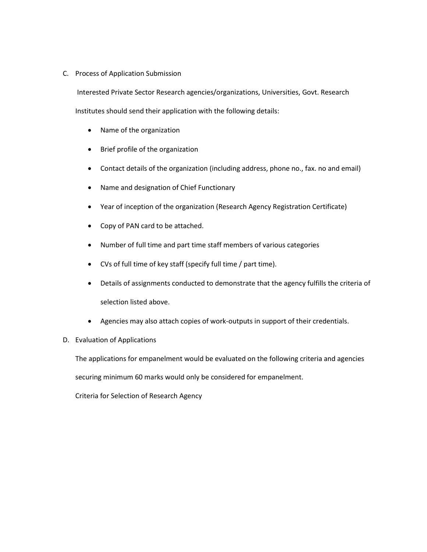### C. Process of Application Submission

Interested Private Sector Research agencies/organizations, Universities, Govt. Research Institutes should send their application with the following details:

- Name of the organization
- Brief profile of the organization
- Contact details of the organization (including address, phone no., fax. no and email)
- Name and designation of Chief Functionary
- Year of inception of the organization (Research Agency Registration Certificate)
- Copy of PAN card to be attached.
- Number of full time and part time staff members of various categories
- CVs of full time of key staff (specify full time / part time).
- Details of assignments conducted to demonstrate that the agency fulfills the criteria of selection listed above.
- Agencies may also attach copies of work-outputs in support of their credentials.

## D. Evaluation of Applications

The applications for empanelment would be evaluated on the following criteria and agencies

securing minimum 60 marks would only be considered for empanelment.

Criteria for Selection of Research Agency